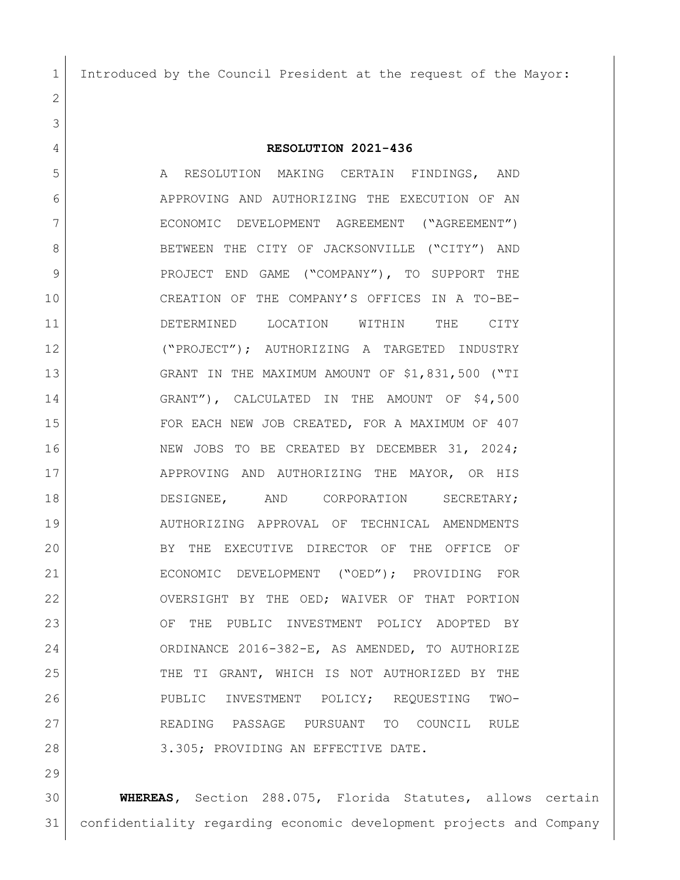Introduced by the Council President at the request of the Mayor:

 **RESOLUTION 2021-436** 5 A RESOLUTION MAKING CERTAIN FINDINGS, AND APPROVING AND AUTHORIZING THE EXECUTION OF AN ECONOMIC DEVELOPMENT AGREEMENT ("AGREEMENT") 8 BETWEEN THE CITY OF JACKSONVILLE ("CITY") AND 9 PROJECT END GAME ("COMPANY"), TO SUPPORT THE CREATION OF THE COMPANY'S OFFICES IN A TO-BE- DETERMINED LOCATION WITHIN THE CITY ("PROJECT"); AUTHORIZING A TARGETED INDUSTRY GRANT IN THE MAXIMUM AMOUNT OF \$1,831,500 ("TI GRANT"), CALCULATED IN THE AMOUNT OF \$4,500 FOR EACH NEW JOB CREATED, FOR A MAXIMUM OF 407 16 NEW JOBS TO BE CREATED BY DECEMBER 31, 2024; 17 APPROVING AND AUTHORIZING THE MAYOR, OR HIS 18 DESIGNEE, AND CORPORATION SECRETARY; AUTHORIZING APPROVAL OF TECHNICAL AMENDMENTS BY THE EXECUTIVE DIRECTOR OF THE OFFICE OF ECONOMIC DEVELOPMENT ("OED"); PROVIDING FOR OVERSIGHT BY THE OED; WAIVER OF THAT PORTION OF THE PUBLIC INVESTMENT POLICY ADOPTED BY ORDINANCE 2016-382-E, AS AMENDED, TO AUTHORIZE THE TI GRANT, WHICH IS NOT AUTHORIZED BY THE PUBLIC INVESTMENT POLICY; REQUESTING TWO- READING PASSAGE PURSUANT TO COUNCIL RULE 28 3.305; PROVIDING AN EFFECTIVE DATE.

 **WHEREAS,** Section 288.075, Florida Statutes, allows certain confidentiality regarding economic development projects and Company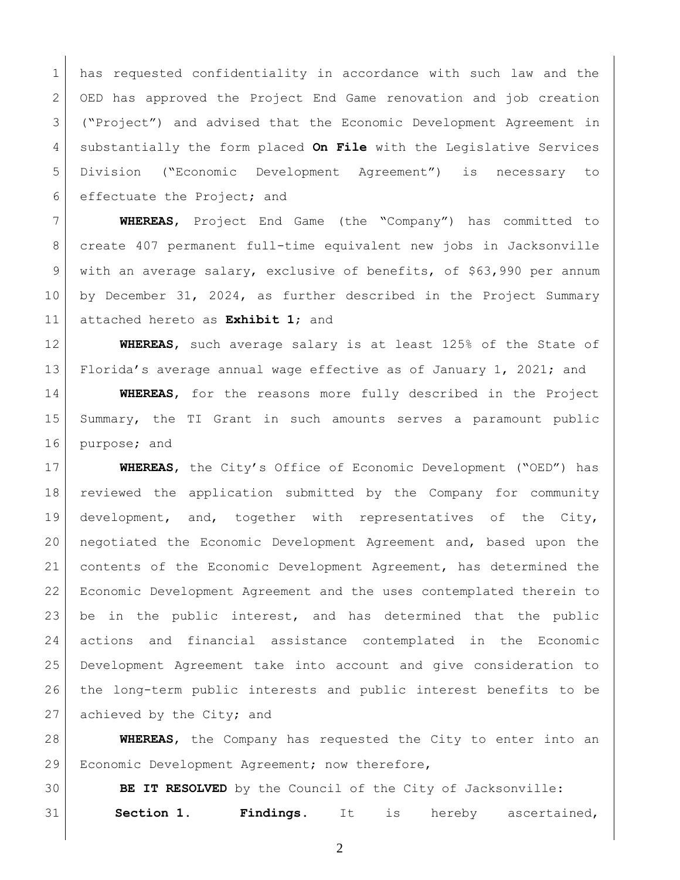has requested confidentiality in accordance with such law and the OED has approved the Project End Game renovation and job creation ("Project") and advised that the Economic Development Agreement in substantially the form placed **On File** with the Legislative Services Division ("Economic Development Agreement") is necessary to effectuate the Project; and

 **WHEREAS**, Project End Game (the "Company") has committed to create 407 permanent full-time equivalent new jobs in Jacksonville 9 | with an average salary, exclusive of benefits, of \$63,990 per annum by December 31, 2024, as further described in the Project Summary attached hereto as **Exhibit 1**; and

 **WHEREAS**, such average salary is at least 125% of the State of Florida's average annual wage effective as of January 1, 2021; and

 **WHEREAS**, for the reasons more fully described in the Project Summary, the TI Grant in such amounts serves a paramount public purpose; and

 **WHEREAS**, the City's Office of Economic Development ("OED") has reviewed the application submitted by the Company for community development, and, together with representatives of the City, negotiated the Economic Development Agreement and, based upon the contents of the Economic Development Agreement, has determined the Economic Development Agreement and the uses contemplated therein to be in the public interest, and has determined that the public actions and financial assistance contemplated in the Economic Development Agreement take into account and give consideration to the long-term public interests and public interest benefits to be 27 achieved by the City; and

 **WHEREAS**, the Company has requested the City to enter into an 29 | Economic Development Agreement; now therefore,

 **BE IT RESOLVED** by the Council of the City of Jacksonville: **Section 1. Findings**. It is hereby ascertained,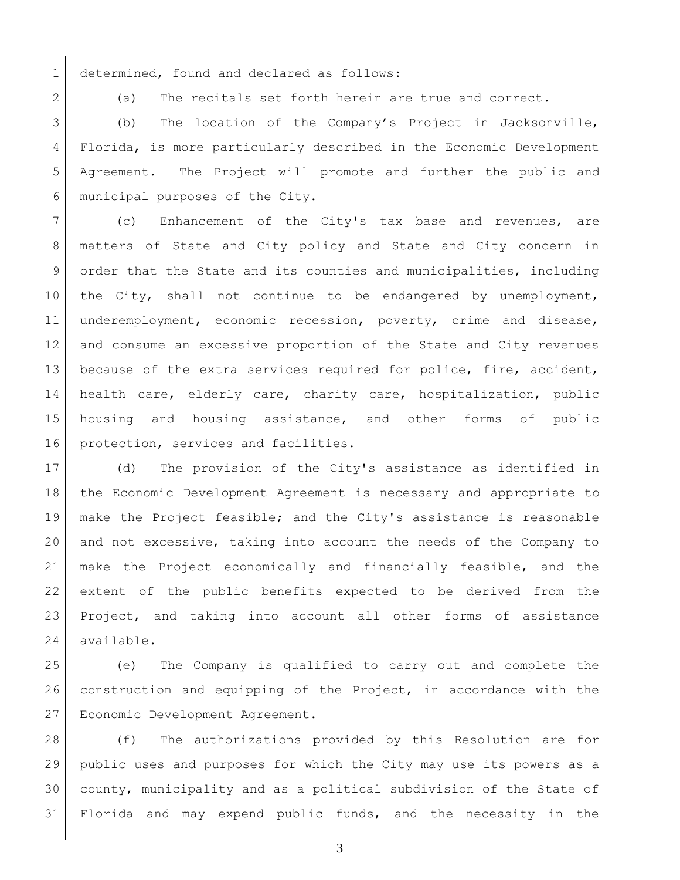1 determined, found and declared as follows:

2 (a) The recitals set forth herein are true and correct.

 (b) The location of the Company's Project in Jacksonville, Florida, is more particularly described in the Economic Development Agreement. The Project will promote and further the public and municipal purposes of the City.

 (c) Enhancement of the City's tax base and revenues, are matters of State and City policy and State and City concern in 9 order that the State and its counties and municipalities, including 10 the City, shall not continue to be endangered by unemployment, underemployment, economic recession, poverty, crime and disease, and consume an excessive proportion of the State and City revenues 13 because of the extra services required for police, fire, accident, health care, elderly care, charity care, hospitalization, public housing and housing assistance, and other forms of public protection, services and facilities.

 (d) The provision of the City's assistance as identified in the Economic Development Agreement is necessary and appropriate to make the Project feasible; and the City's assistance is reasonable and not excessive, taking into account the needs of the Company to make the Project economically and financially feasible, and the extent of the public benefits expected to be derived from the Project, and taking into account all other forms of assistance available.

 (e) The Company is qualified to carry out and complete the construction and equipping of the Project, in accordance with the Economic Development Agreement.

 (f) The authorizations provided by this Resolution are for public uses and purposes for which the City may use its powers as a county, municipality and as a political subdivision of the State of Florida and may expend public funds, and the necessity in the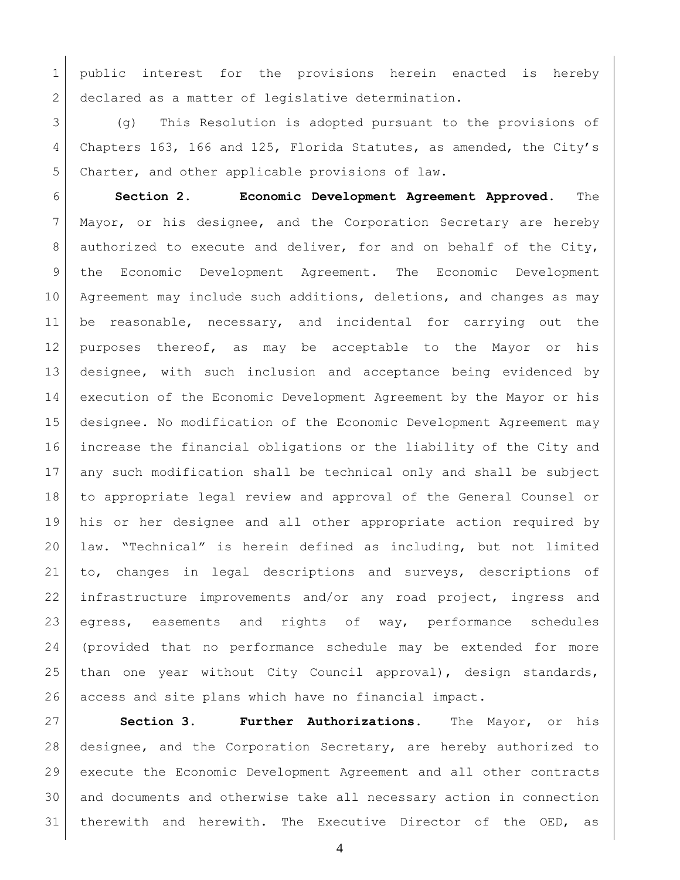public interest for the provisions herein enacted is hereby 2 declared as a matter of legislative determination.

 (g) This Resolution is adopted pursuant to the provisions of Chapters 163, 166 and 125, Florida Statutes, as amended, the City's 5 Charter, and other applicable provisions of law.

 **Section 2. Economic Development Agreement Approved.** The Mayor, or his designee, and the Corporation Secretary are hereby 8 authorized to execute and deliver, for and on behalf of the City, the Economic Development Agreement. The Economic Development 10 Agreement may include such additions, deletions, and changes as may be reasonable, necessary, and incidental for carrying out the purposes thereof, as may be acceptable to the Mayor or his designee, with such inclusion and acceptance being evidenced by execution of the Economic Development Agreement by the Mayor or his designee. No modification of the Economic Development Agreement may increase the financial obligations or the liability of the City and any such modification shall be technical only and shall be subject to appropriate legal review and approval of the General Counsel or his or her designee and all other appropriate action required by 20 law. "Technical" is herein defined as including, but not limited to, changes in legal descriptions and surveys, descriptions of infrastructure improvements and/or any road project, ingress and 23 egress, easements and rights of way, performance schedules (provided that no performance schedule may be extended for more than one year without City Council approval), design standards, 26 access and site plans which have no financial impact.

 **Section 3. Further Authorizations.** The Mayor, or his designee, and the Corporation Secretary, are hereby authorized to execute the Economic Development Agreement and all other contracts and documents and otherwise take all necessary action in connection therewith and herewith. The Executive Director of the OED, as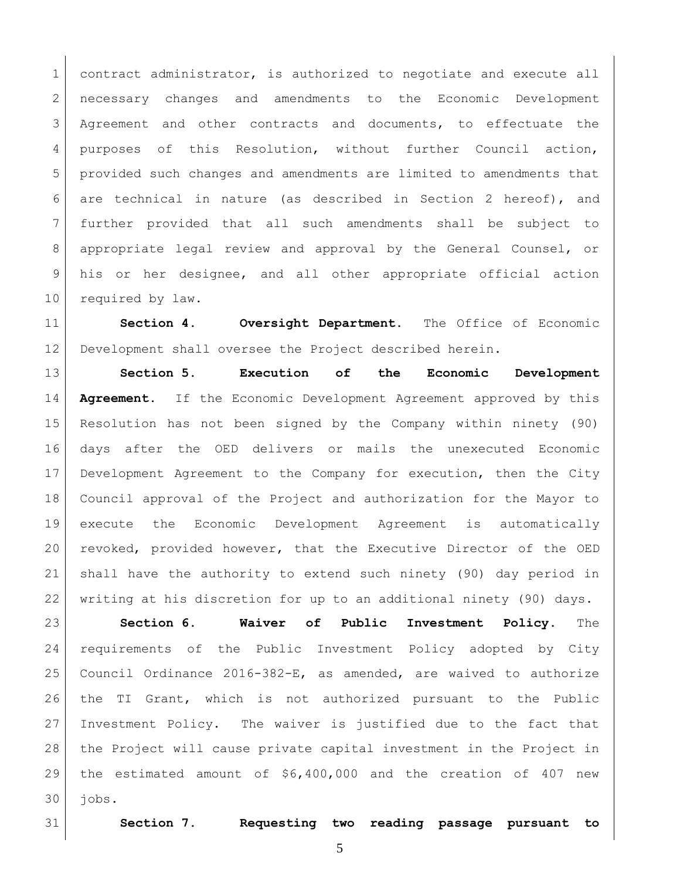1 contract administrator, is authorized to negotiate and execute all necessary changes and amendments to the Economic Development Agreement and other contracts and documents, to effectuate the purposes of this Resolution, without further Council action, provided such changes and amendments are limited to amendments that are technical in nature (as described in Section 2 hereof), and further provided that all such amendments shall be subject to appropriate legal review and approval by the General Counsel, or his or her designee, and all other appropriate official action 10 required by law.

 **Section 4. Oversight Department.** The Office of Economic Development shall oversee the Project described herein.

 **Section 5. Execution of the Economic Development Agreement.** If the Economic Development Agreement approved by this Resolution has not been signed by the Company within ninety (90) days after the OED delivers or mails the unexecuted Economic Development Agreement to the Company for execution, then the City Council approval of the Project and authorization for the Mayor to execute the Economic Development Agreement is automatically revoked, provided however, that the Executive Director of the OED shall have the authority to extend such ninety (90) day period in 22 | writing at his discretion for up to an additional ninety (90) days.

 **Section 6. Waiver of Public Investment Policy.** The requirements of the Public Investment Policy adopted by City Council Ordinance 2016-382-E, as amended, are waived to authorize the TI Grant, which is not authorized pursuant to the Public Investment Policy. The waiver is justified due to the fact that the Project will cause private capital investment in the Project in the estimated amount of \$6,400,000 and the creation of 407 new jobs.

**Section 7. Requesting two reading passage pursuant to**